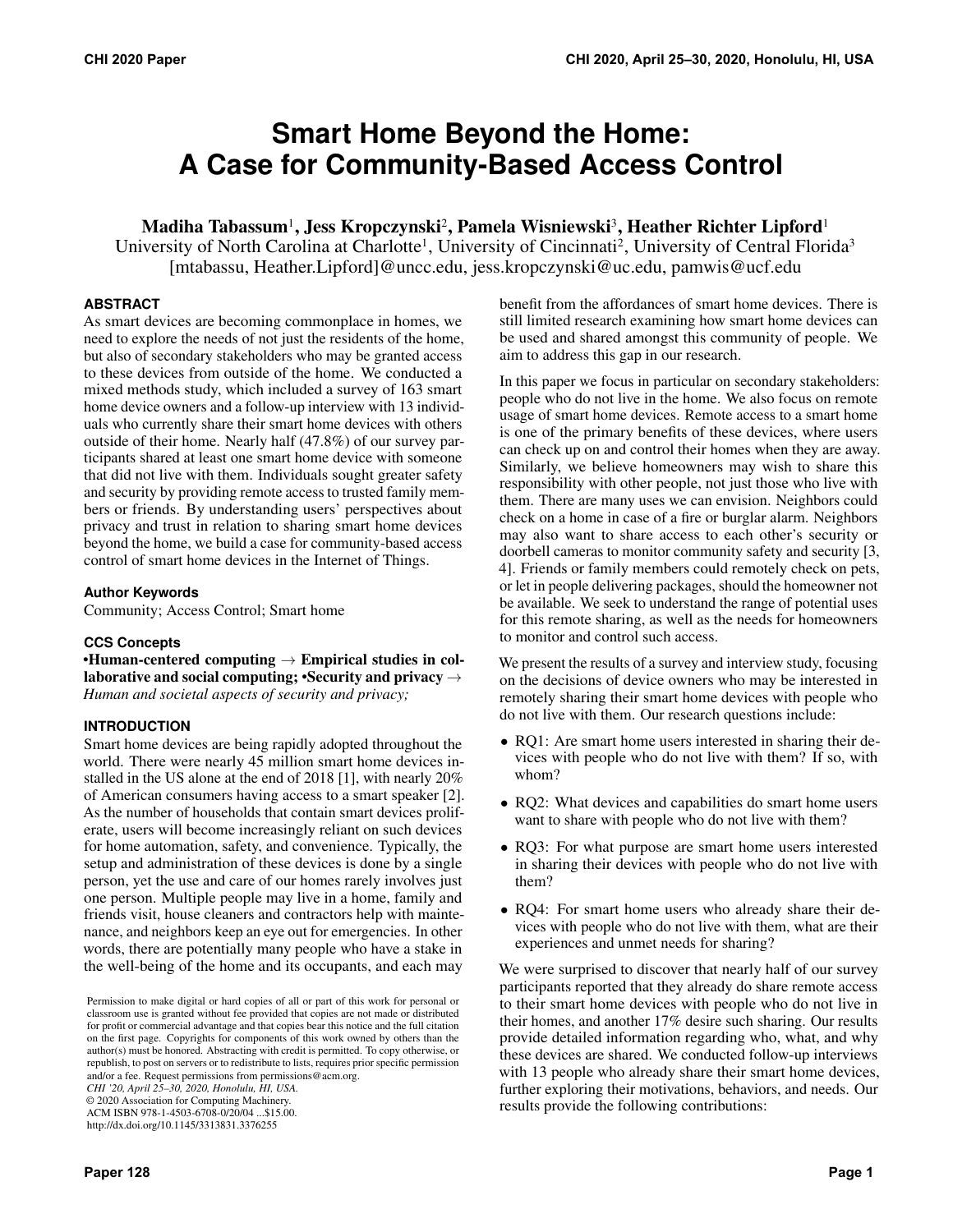# **Smart Home Beyond the Home: A Case for Community-Based Access Control**

## Madiha Tabassum<sup>1</sup>, Jess Kropczynski<sup>2</sup>, Pamela Wisniewski<sup>3</sup>, Heather Richter Lipford<sup>1</sup>

University of North Carolina at Charlotte<sup>1</sup>, University of Cincinnati<sup>2</sup>, University of Central Florida<sup>3</sup> [mtabassu, [Heather.Lipford\]@uncc.edu,](mailto:Heather.Lipford]@uncc.edu) [jess.kropczynski@uc.edu,](mailto:jess.kropczynski@uc.edu) [pamwis@ucf.edu](mailto:pamwis@ucf.edu)

#### **ABSTRACT**

As smart devices are becoming commonplace in homes, we need to explore the needs of not just the residents of the home, but also of secondary stakeholders who may be granted access to these devices from outside of the home. We conducted a mixed methods study, which included a survey of 163 smart home device owners and a follow-up interview with 13 individuals who currently share their smart home devices with others outside of their home. Nearly half (47.8%) of our survey participants shared at least one smart home device with someone that did not live with them. Individuals sought greater safety and security by providing remote access to trusted family members or friends. By understanding users' perspectives about privacy and trust in relation to sharing smart home devices beyond the home, we build a case for community-based access control of smart home devices in the Internet of Things.

#### **Author Keywords**

Community; Access Control; Smart home

#### **CCS Concepts**

•Human-centered computing  $\rightarrow$  Empirical studies in collaborative and social computing; •Security and privacy  $\rightarrow$ *Human and societal aspects of security and privacy;* 

#### **INTRODUCTION**

Smart home devices are being rapidly adopted throughout the world. There were nearly 45 million smart home devices installed in the US alone at the end of 2018 [\[1\]](#page-10-0), with nearly 20% of American consumers having access to a smart speaker [\[2\]](#page-10-1). As the number of households that contain smart devices proliferate, users will become increasingly reliant on such devices for home automation, safety, and convenience. Typically, the setup and administration of these devices is done by a single person, yet the use and care of our homes rarely involves just one person. Multiple people may live in a home, family and friends visit, house cleaners and contractors help with maintenance, and neighbors keep an eye out for emergencies. In other words, there are potentially many people who have a stake in the well-being of the home and its occupants, and each may

*CHI '20, April 25–30, 2020, Honolulu, HI, USA.* 

© 2020 Association for Computing Machinery.

ACM ISBN 978-1-4503-6708-0/20/04 ...\$15.00. <http://dx.doi.org/10.1145/3313831.3376255>

benefit from the affordances of smart home devices. There is still limited research examining how smart home devices can be used and shared amongst this community of people. We aim to address this gap in our research.

In this paper we focus in particular on secondary stakeholders: people who do not live in the home. We also focus on remote usage of smart home devices. Remote access to a smart home is one of the primary benefits of these devices, where users can check up on and control their homes when they are away. Similarly, we believe homeowners may wish to share this responsibility with other people, not just those who live with them. There are many uses we can envision. Neighbors could check on a home in case of a fire or burglar alarm. Neighbors may also want to share access to each other's security or doorbell cameras to monitor community safety and security [\[3,](#page-10-2) [4\]](#page-10-3). Friends or family members could remotely check on pets, or let in people delivering packages, should the homeowner not be available. We seek to understand the range of potential uses for this remote sharing, as well as the needs for homeowners to monitor and control such access.

We present the results of a survey and interview study, focusing on the decisions of device owners who may be interested in remotely sharing their smart home devices with people who do not live with them. Our research questions include:

- RQ1: Are smart home users interested in sharing their devices with people who do not live with them? If so, with whom?
- RQ2: What devices and capabilities do smart home users want to share with people who do not live with them?
- RQ3: For what purpose are smart home users interested in sharing their devices with people who do not live with them?
- RQ4: For smart home users who already share their devices with people who do not live with them, what are their experiences and unmet needs for sharing?

We were surprised to discover that nearly half of our survey participants reported that they already do share remote access to their smart home devices with people who do not live in their homes, and another 17% desire such sharing. Our results provide detailed information regarding who, what, and why these devices are shared. We conducted follow-up interviews with 13 people who already share their smart home devices, further exploring their motivations, behaviors, and needs. Our results provide the following contributions:

Permission to make digital or hard copies of all or part of this work for personal or classroom use is granted without fee provided that copies are not made or distributed for profit or commercial advantage and that copies bear this notice and the full citation on the first page. Copyrights for components of this work owned by others than the author(s) must be honored. Abstracting with credit is permitted. To copy otherwise, or republish, to post on servers or to redistribute to lists, requires prior specific permission and/or a fee. Request permissions from [permissions@acm.org.](mailto:permissions@acm.org)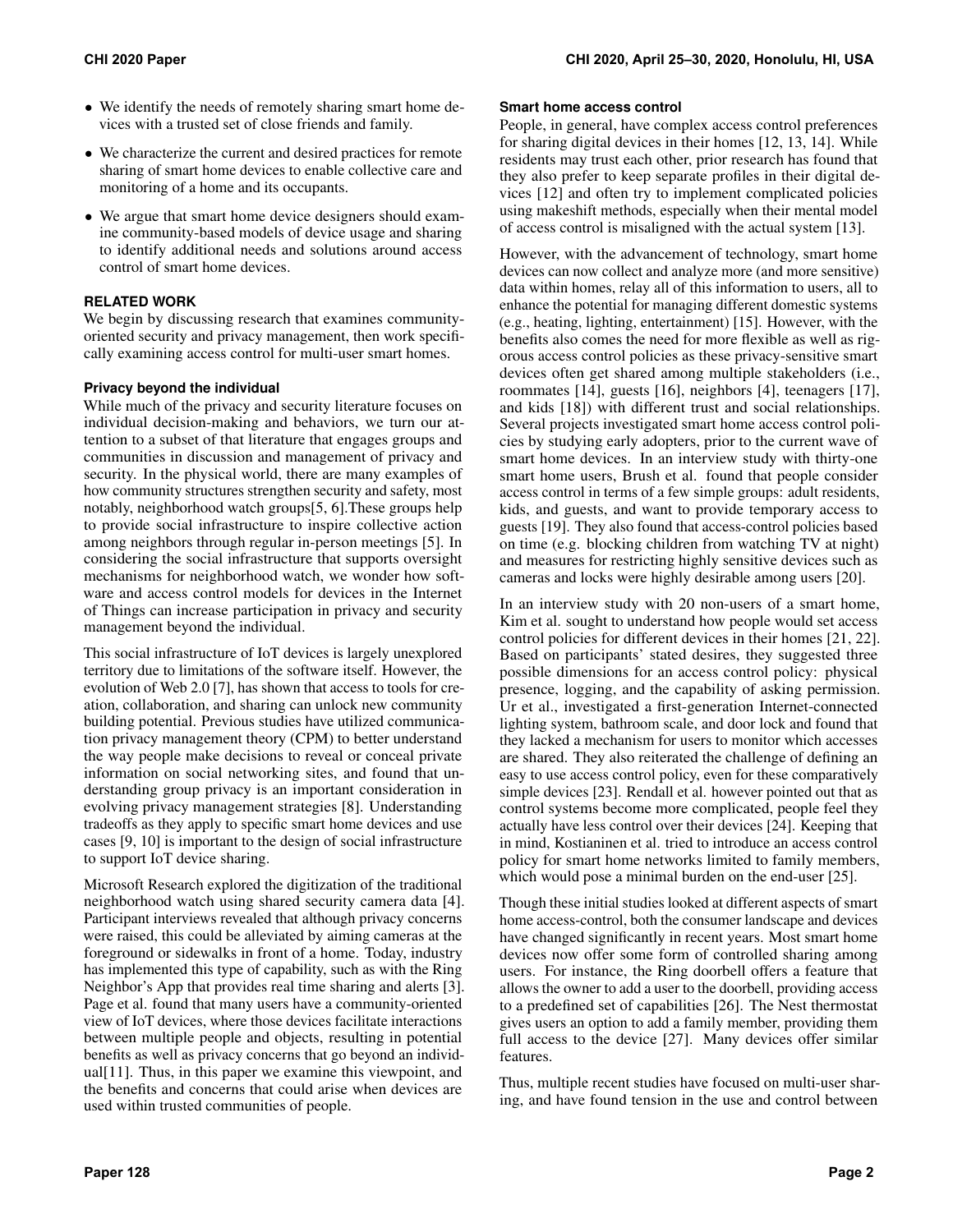- We identify the needs of remotely sharing smart home devices with a trusted set of close friends and family.
- We characterize the current and desired practices for remote sharing of smart home devices to enable collective care and monitoring of a home and its occupants.
- We argue that smart home device designers should examine community-based models of device usage and sharing to identify additional needs and solutions around access control of smart home devices.

#### **RELATED WORK**

We begin by discussing research that examines communityoriented security and privacy management, then work specifically examining access control for multi-user smart homes.

#### **Privacy beyond the individual**

While much of the privacy and security literature focuses on individual decision-making and behaviors, we turn our attention to a subset of that literature that engages groups and communities in discussion and management of privacy and security. In the physical world, there are many examples of how community structures strengthen security and safety, most notably, neighborhood watch groups[\[5,](#page-10-4) [6\]](#page-10-5).These groups help to provide social infrastructure to inspire collective action among neighbors through regular in-person meetings [\[5\]](#page-10-4). In considering the social infrastructure that supports oversight mechanisms for neighborhood watch, we wonder how software and access control models for devices in the Internet of Things can increase participation in privacy and security management beyond the individual.

This social infrastructure of IoT devices is largely unexplored territory due to limitations of the software itself. However, the evolution of Web 2.0 [\[7\]](#page-10-6), has shown that access to tools for creation, collaboration, and sharing can unlock new community building potential. Previous studies have utilized communication privacy management theory (CPM) to better understand the way people make decisions to reveal or conceal private information on social networking sites, and found that understanding group privacy is an important consideration in evolving privacy management strategies [\[8\]](#page-10-7). Understanding tradeoffs as they apply to specific smart home devices and use cases [\[9,](#page-10-8) [10\]](#page-10-9) is important to the design of social infrastructure to support IoT device sharing.

Microsoft Research explored the digitization of the traditional neighborhood watch using shared security camera data [\[4\]](#page-10-3). Participant interviews revealed that although privacy concerns were raised, this could be alleviated by aiming cameras at the foreground or sidewalks in front of a home. Today, industry has implemented this type of capability, such as with the Ring Neighbor's App that provides real time sharing and alerts [\[3\]](#page-10-2). Page et al. found that many users have a community-oriented view of IoT devices, where those devices facilitate interactions between multiple people and objects, resulting in potential benefits as well as privacy concerns that go beyond an individual[\[11\]](#page-10-10). Thus, in this paper we examine this viewpoint, and the benefits and concerns that could arise when devices are used within trusted communities of people.

#### **Smart home access control**

People, in general, have complex access control preferences for sharing digital devices in their homes [\[12,](#page-10-11) [13,](#page-10-12) [14\]](#page-10-13). While residents may trust each other, prior research has found that they also prefer to keep separate profiles in their digital devices [\[12\]](#page-10-11) and often try to implement complicated policies using makeshift methods, especially when their mental model of access control is misaligned with the actual system [\[13\]](#page-10-12).

However, with the advancement of technology, smart home devices can now collect and analyze more (and more sensitive) data within homes, relay all of this information to users, all to enhance the potential for managing different domestic systems (e.g., heating, lighting, entertainment) [\[15\]](#page-10-14). However, with the benefits also comes the need for more flexible as well as rigorous access control policies as these privacy-sensitive smart devices often get shared among multiple stakeholders (i.e., roommates [\[14\]](#page-10-13), guests [\[16\]](#page-10-15), neighbors [\[4\]](#page-10-3), teenagers [\[17\]](#page-10-16), and kids [\[18\]](#page-10-17)) with different trust and social relationships. Several projects investigated smart home access control policies by studying early adopters, prior to the current wave of smart home devices. In an interview study with thirty-one smart home users, Brush et al. found that people consider access control in terms of a few simple groups: adult residents, kids, and guests, and want to provide temporary access to guests [\[19\]](#page-10-18). They also found that access-control policies based on time (e.g. blocking children from watching TV at night) and measures for restricting highly sensitive devices such as cameras and locks were highly desirable among users [\[20\]](#page-10-19).

In an interview study with 20 non-users of a smart home, Kim et al. sought to understand how people would set access control policies for different devices in their homes [\[21,](#page-10-20) [22\]](#page-10-21). Based on participants' stated desires, they suggested three possible dimensions for an access control policy: physical presence, logging, and the capability of asking permission. Ur et al., investigated a first-generation Internet-connected lighting system, bathroom scale, and door lock and found that they lacked a mechanism for users to monitor which accesses are shared. They also reiterated the challenge of defining an easy to use access control policy, even for these comparatively simple devices [\[23\]](#page-10-22). Rendall et al. however pointed out that as control systems become more complicated, people feel they actually have less control over their devices [\[24\]](#page-10-23). Keeping that in mind, Kostianinen et al. tried to introduce an access control policy for smart home networks limited to family members, which would pose a minimal burden on the end-user [\[25\]](#page-11-0).

Though these initial studies looked at different aspects of smart home access-control, both the consumer landscape and devices have changed significantly in recent years. Most smart home devices now offer some form of controlled sharing among users. For instance, the Ring doorbell offers a feature that allows the owner to add a user to the doorbell, providing access to a predefined set of capabilities [\[26\]](#page-11-1). The Nest thermostat gives users an option to add a family member, providing them full access to the device [\[27\]](#page-11-2). Many devices offer similar features.

Thus, multiple recent studies have focused on multi-user sharing, and have found tension in the use and control between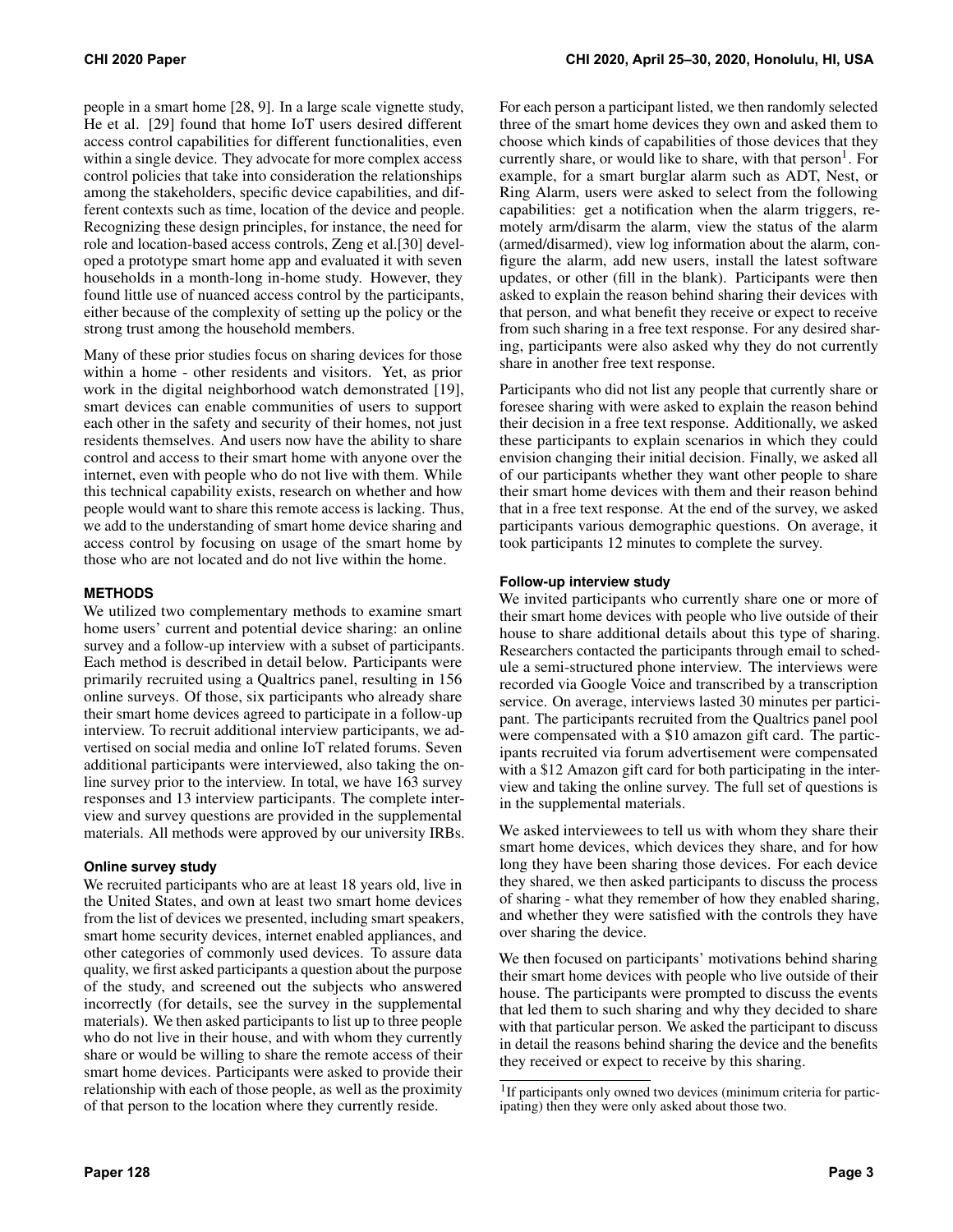people in a smart home [\[28,](#page-11-3) [9\]](#page-10-8). In a large scale vignette study, He et al. [\[29\]](#page-11-4) found that home IoT users desired different access control capabilities for different functionalities, even within a single device. They advocate for more complex access control policies that take into consideration the relationships among the stakeholders, specific device capabilities, and different contexts such as time, location of the device and people. Recognizing these design principles, for instance, the need for role and location-based access controls, Zeng et al.[\[30\]](#page-11-5) developed a prototype smart home app and evaluated it with seven households in a month-long in-home study. However, they found little use of nuanced access control by the participants, either because of the complexity of setting up the policy or the strong trust among the household members.

Many of these prior studies focus on sharing devices for those within a home - other residents and visitors. Yet, as prior work in the digital neighborhood watch demonstrated [\[19\]](#page-10-18), smart devices can enable communities of users to support each other in the safety and security of their homes, not just residents themselves. And users now have the ability to share control and access to their smart home with anyone over the internet, even with people who do not live with them. While this technical capability exists, research on whether and how people would want to share this remote access is lacking. Thus, we add to the understanding of smart home device sharing and access control by focusing on usage of the smart home by those who are not located and do not live within the home.

#### **METHODS**

We utilized two complementary methods to examine smart home users' current and potential device sharing: an online survey and a follow-up interview with a subset of participants. Each method is described in detail below. Participants were primarily recruited using a Qualtrics panel, resulting in 156 online surveys. Of those, six participants who already share their smart home devices agreed to participate in a follow-up interview. To recruit additional interview participants, we advertised on social media and online IoT related forums. Seven additional participants were interviewed, also taking the online survey prior to the interview. In total, we have 163 survey responses and 13 interview participants. The complete interview and survey questions are provided in the supplemental materials. All methods were approved by our university IRBs.

#### **Online survey study**

We recruited participants who are at least 18 years old, live in the United States, and own at least two smart home devices from the list of devices we presented, including smart speakers, smart home security devices, internet enabled appliances, and other categories of commonly used devices. To assure data quality, we first asked participants a question about the purpose of the study, and screened out the subjects who answered incorrectly (for details, see the survey in the supplemental materials). We then asked participants to list up to three people who do not live in their house, and with whom they currently share or would be willing to share the remote access of their smart home devices. Participants were asked to provide their relationship with each of those people, as well as the proximity of that person to the location where they currently reside.

For each person a participant listed, we then randomly selected three of the smart home devices they own and asked them to choose which kinds of capabilities of those devices that they currently share, or would like to share, with that  $person<sup>1</sup>$ . For example, for a smart burglar alarm such as ADT, Nest, or Ring Alarm, users were asked to select from the following capabilities: get a notification when the alarm triggers, remotely arm/disarm the alarm, view the status of the alarm (armed/disarmed), view log information about the alarm, configure the alarm, add new users, install the latest software updates, or other (fill in the blank). Participants were then asked to explain the reason behind sharing their devices with that person, and what benefit they receive or expect to receive from such sharing in a free text response. For any desired sharing, participants were also asked why they do not currently share in another free text response.

Participants who did not list any people that currently share or foresee sharing with were asked to explain the reason behind their decision in a free text response. Additionally, we asked these participants to explain scenarios in which they could envision changing their initial decision. Finally, we asked all of our participants whether they want other people to share their smart home devices with them and their reason behind that in a free text response. At the end of the survey, we asked participants various demographic questions. On average, it took participants 12 minutes to complete the survey.

#### **Follow-up interview study**

We invited participants who currently share one or more of their smart home devices with people who live outside of their house to share additional details about this type of sharing. Researchers contacted the participants through email to schedule a semi-structured phone interview. The interviews were recorded via Google Voice and transcribed by a transcription service. On average, interviews lasted 30 minutes per participant. The participants recruited from the Qualtrics panel pool were compensated with a \$10 amazon gift card. The participants recruited via forum advertisement were compensated with a \$12 Amazon gift card for both participating in the interview and taking the online survey. The full set of questions is in the supplemental materials.

We asked interviewees to tell us with whom they share their smart home devices, which devices they share, and for how long they have been sharing those devices. For each device they shared, we then asked participants to discuss the process of sharing - what they remember of how they enabled sharing, and whether they were satisfied with the controls they have over sharing the device.

We then focused on participants' motivations behind sharing their smart home devices with people who live outside of their house. The participants were prompted to discuss the events that led them to such sharing and why they decided to share with that particular person. We asked the participant to discuss in detail the reasons behind sharing the device and the benefits they received or expect to receive by this sharing.

<span id="page-2-0"></span> $1$ If participants only owned two devices (minimum criteria for participating) then they were only asked about those two.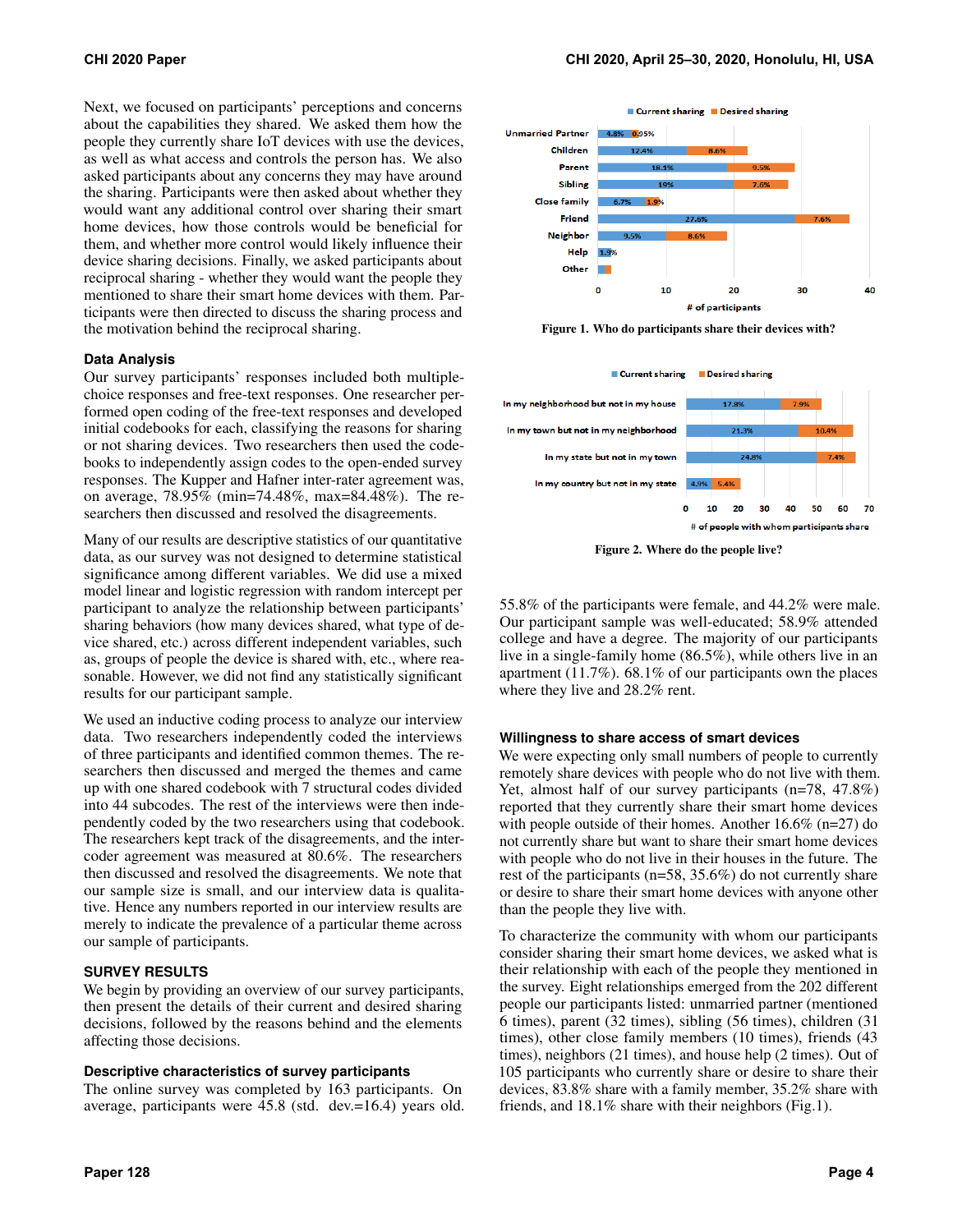Next, we focused on participants' perceptions and concerns about the capabilities they shared. We asked them how the people they currently share IoT devices with use the devices, as well as what access and controls the person has. We also asked participants about any concerns they may have around the sharing. Participants were then asked about whether they would want any additional control over sharing their smart home devices, how those controls would be beneficial for them, and whether more control would likely influence their device sharing decisions. Finally, we asked participants about reciprocal sharing - whether they would want the people they mentioned to share their smart home devices with them. Participants were then directed to discuss the sharing process and the motivation behind the reciprocal sharing.

#### **Data Analysis**

Our survey participants' responses included both multiplechoice responses and free-text responses. One researcher performed open coding of the free-text responses and developed initial codebooks for each, classifying the reasons for sharing or not sharing devices. Two researchers then used the codebooks to independently assign codes to the open-ended survey responses. The Kupper and Hafner inter-rater agreement was, on average, 78.95% ([min=74.48](https://min=74.48)%, [max=84.48](https://max=84.48)%). The researchers then discussed and resolved the disagreements.

Many of our results are descriptive statistics of our quantitative data, as our survey was not designed to determine statistical significance among different variables. We did use a mixed model linear and logistic regression with random intercept per participant to analyze the relationship between participants' sharing behaviors (how many devices shared, what type of device shared, etc.) across different independent variables, such as, groups of people the device is shared with, etc., where reasonable. However, we did not find any statistically significant results for our participant sample.

We used an inductive coding process to analyze our interview data. Two researchers independently coded the interviews of three participants and identified common themes. The researchers then discussed and merged the themes and came up with one shared codebook with 7 structural codes divided into 44 subcodes. The rest of the interviews were then independently coded by the two researchers using that codebook. The researchers kept track of the disagreements, and the intercoder agreement was measured at 80.6%. The researchers then discussed and resolved the disagreements. We note that our sample size is small, and our interview data is qualitative. Hence any numbers reported in our interview results are merely to indicate the prevalence of a particular theme across our sample of participants.

#### **SURVEY RESULTS**

We begin by providing an overview of our survey participants, then present the details of their current and desired sharing decisions, followed by the reasons behind and the elements affecting those decisions.

#### **Descriptive characteristics of survey participants**

The online survey was completed by 163 participants. On average, participants were 45.8 (std. dev.=16.4) years old.



<span id="page-3-0"></span>Figure 1. Who do participants share their devices with?



<span id="page-3-1"></span>Figure 2. Where do the people live?

55.8% of the participants were female, and 44.2% were male. Our participant sample was well-educated; 58.9% attended college and have a degree. The majority of our participants live in a single-family home (86.5%), while others live in an apartment (11.7%). 68.1% of our participants own the places where they live and 28.2% rent.

#### **Willingness to share access of smart devices**

We were expecting only small numbers of people to currently remotely share devices with people who do not live with them. Yet, almost half of our survey participants (n=78, 47.8%) reported that they currently share their smart home devices with people outside of their homes. Another 16.6% (n=27) do not currently share but want to share their smart home devices with people who do not live in their houses in the future. The rest of the participants (n=58, 35.6%) do not currently share or desire to share their smart home devices with anyone other than the people they live with.

To characterize the community with whom our participants consider sharing their smart home devices, we asked what is their relationship with each of the people they mentioned in the survey. Eight relationships emerged from the 202 different people our participants listed: unmarried partner (mentioned 6 times), parent (32 times), sibling (56 times), children (31 times), other close family members (10 times), friends (43 times), neighbors (21 times), and house help (2 times). Out of 105 participants who currently share or desire to share their devices, 83.8% share with a family member, 35.2% share with friends, and 18.1% share with their neighbors (Fig[.1\)](#page-3-0).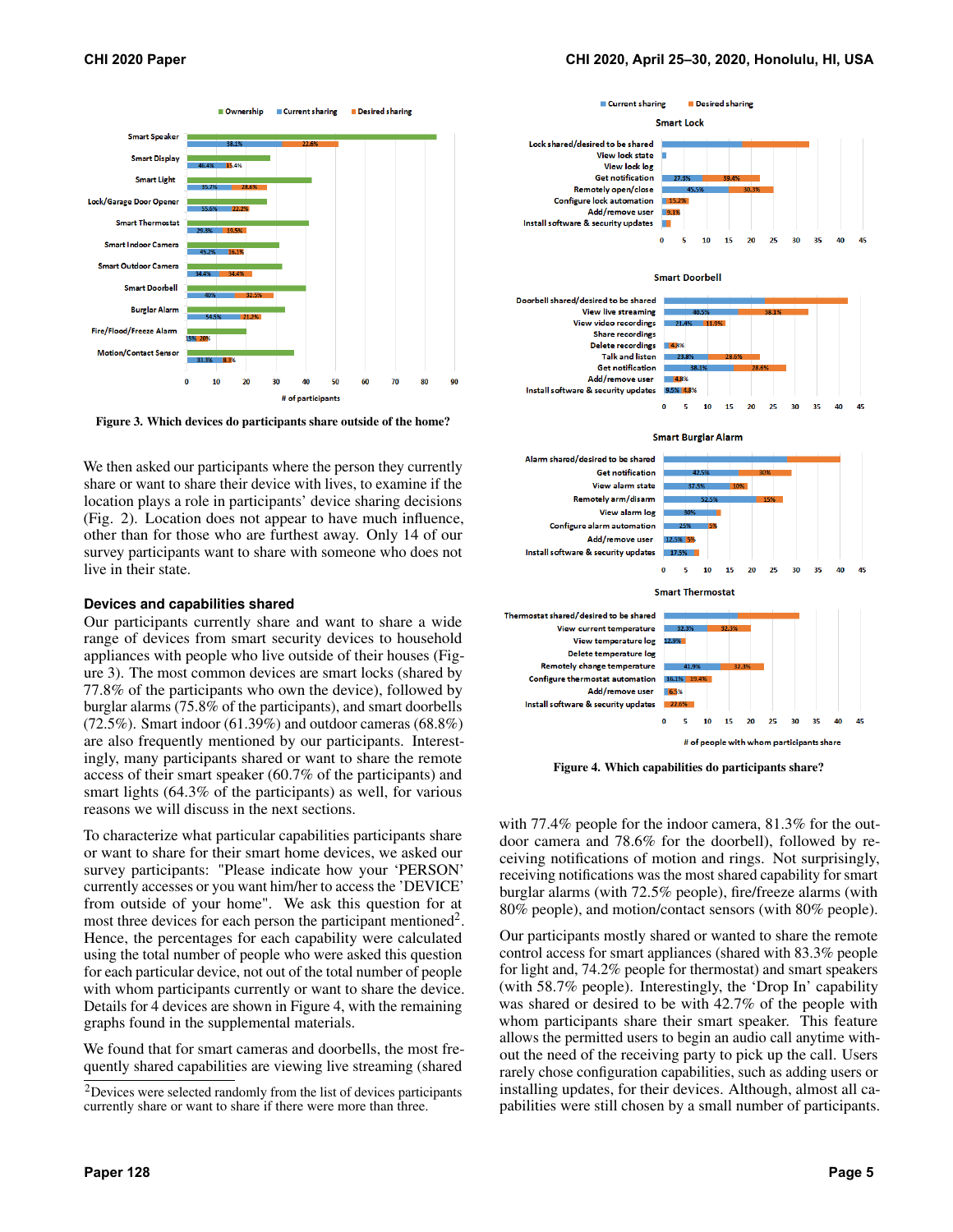

<span id="page-4-0"></span>Figure 3. Which devices do participants share outside of the home?

We then asked our participants where the person they currently share or want to share their device with lives, to examine if the location plays a role in participants' device sharing decisions (Fig. [2\)](#page-3-1). Location does not appear to have much influence, other than for those who are furthest away. Only 14 of our survey participants want to share with someone who does not live in their state.

#### **Devices and capabilities shared**

Our participants currently share and want to share a wide range of devices from smart security devices to household appliances with people who live outside of their houses (Figure [3\)](#page-4-0). The most common devices are smart locks (shared by 77.8% of the participants who own the device), followed by burglar alarms (75.8% of the participants), and smart doorbells (72.5%). Smart indoor (61.39%) and outdoor cameras (68.8%) are also frequently mentioned by our participants. Interestingly, many participants shared or want to share the remote access of their smart speaker (60.7% of the participants) and smart lights (64.3% of the participants) as well, for various reasons we will discuss in the next sections.

To characterize what particular capabilities participants share or want to share for their smart home devices, we asked our survey participants: "Please indicate how your 'PERSON' currently accesses or you want him/her to access the 'DEVICE' from outside of your home". We ask this question for at most three devices for each person the participant mentioned<sup>2</sup>. Hence, the percentages for each capability were calculated using the total number of people who were asked this question for each particular device, not out of the total number of people with whom participants currently or want to share the device. Details for 4 devices are shown in Figure [4,](#page-4-2) with the remaining graphs found in the supplemental materials.

We found that for smart cameras and doorbells, the most frequently shared capabilities are viewing live streaming (shared



<span id="page-4-2"></span>Figure 4. Which capabilities do participants share?

with 77.4% people for the indoor camera, 81.3% for the outdoor camera and 78.6% for the doorbell), followed by receiving notifications of motion and rings. Not surprisingly, receiving notifications was the most shared capability for smart burglar alarms (with 72.5% people), fire/freeze alarms (with 80% people), and motion/contact sensors (with 80% people).

Our participants mostly shared or wanted to share the remote control access for smart appliances (shared with 83.3% people for light and, 74.2% people for thermostat) and smart speakers (with 58.7% people). Interestingly, the 'Drop In' capability was shared or desired to be with 42.7% of the people with whom participants share their smart speaker. This feature allows the permitted users to begin an audio call anytime without the need of the receiving party to pick up the call. Users rarely chose configuration capabilities, such as adding users or installing updates, for their devices. Although, almost all capabilities were still chosen by a small number of participants.

<span id="page-4-1"></span><sup>2</sup>Devices were selected randomly from the list of devices participants currently share or want to share if there were more than three.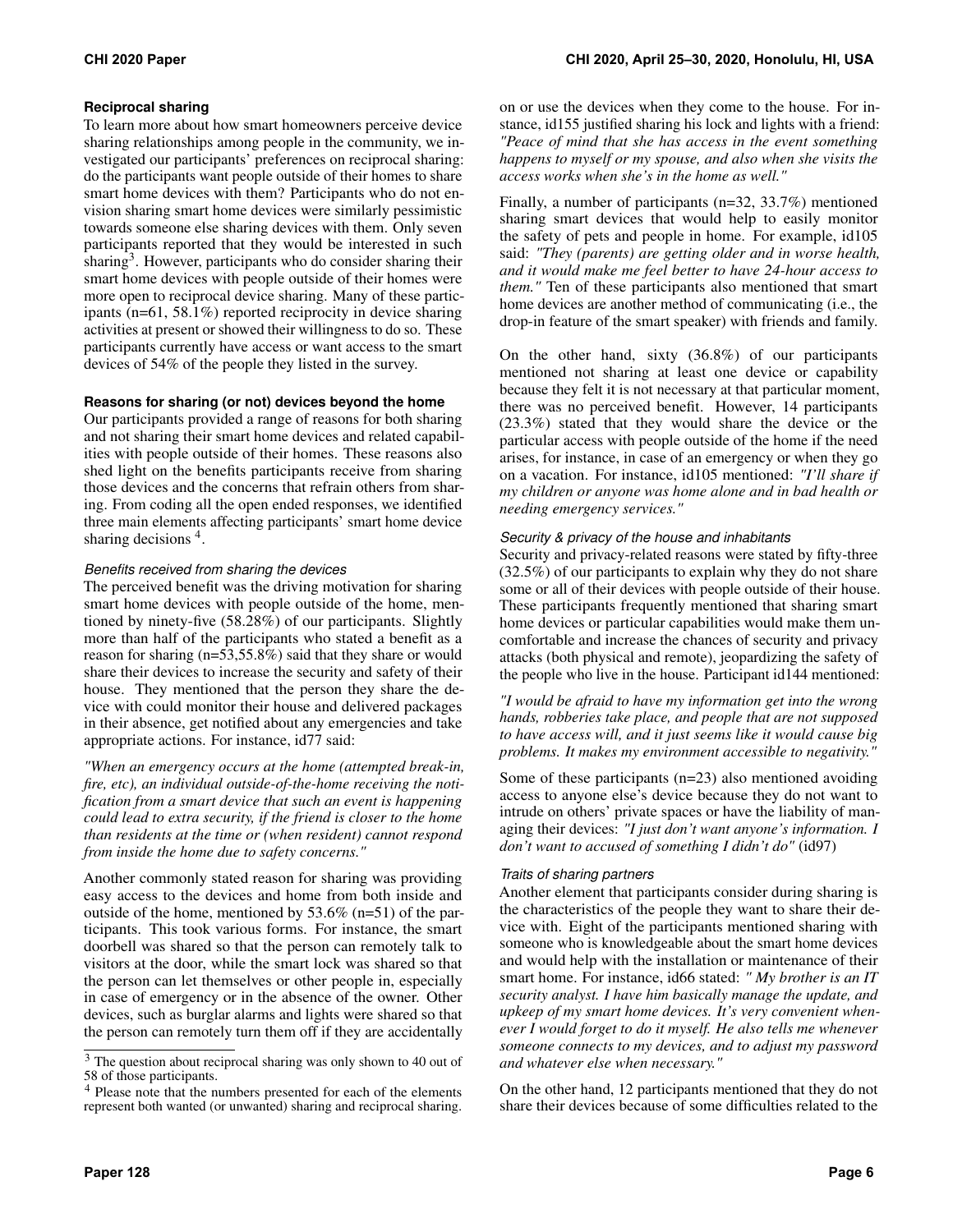#### **Reciprocal sharing**

To learn more about how smart homeowners perceive device sharing relationships among people in the community, we investigated our participants' preferences on reciprocal sharing: do the participants want people outside of their homes to share smart home devices with them? Participants who do not envision sharing smart home devices were similarly pessimistic towards someone else sharing devices with them. Only seven participants reported that they would be interested in such sharing<sup>3</sup>. However, participants who do consider sharing their smart home devices with people outside of their homes were more open to reciprocal device sharing. Many of these participants (n=61, 58.1%) reported reciprocity in device sharing activities at present or showed their willingness to do so. These participants currently have access or want access to the smart devices of 54% of the people they listed in the survey.

#### **Reasons for sharing (or not) devices beyond the home**

Our participants provided a range of reasons for both sharing and not sharing their smart home devices and related capabilities with people outside of their homes. These reasons also shed light on the benefits participants receive from sharing those devices and the concerns that refrain others from sharing. From coding all the open ended responses, we identified three main elements affecting participants' smart home device sharing decisions <sup>4</sup>.

#### *Benefits received from sharing the devices*

The perceived benefit was the driving motivation for sharing smart home devices with people outside of the home, mentioned by ninety-five (58.28%) of our participants. Slightly more than half of the participants who stated a benefit as a reason for sharing (n=53,55.8%) said that they share or would share their devices to increase the security and safety of their house. They mentioned that the person they share the device with could monitor their house and delivered packages in their absence, get notified about any emergencies and take appropriate actions. For instance, id77 said:

*"When an emergency occurs at the home (attempted break-in, fire, etc), an individual outside-of-the-home receiving the notification from a smart device that such an event is happening could lead to extra security, if the friend is closer to the home than residents at the time or (when resident) cannot respond from inside the home due to safety concerns."* 

Another commonly stated reason for sharing was providing easy access to the devices and home from both inside and outside of the home, mentioned by 53.6% (n=51) of the participants. This took various forms. For instance, the smart doorbell was shared so that the person can remotely talk to visitors at the door, while the smart lock was shared so that the person can let themselves or other people in, especially in case of emergency or in the absence of the owner. Other devices, such as burglar alarms and lights were shared so that the person can remotely turn them off if they are accidentally

on or use the devices when they come to the house. For instance, id155 justified sharing his lock and lights with a friend: *"Peace of mind that she has access in the event something happens to myself or my spouse, and also when she visits the access works when she's in the home as well."* 

Finally, a number of participants (n=32, 33.7%) mentioned sharing smart devices that would help to easily monitor the safety of pets and people in home. For example, id105 said: *"They (parents) are getting older and in worse health, and it would make me feel better to have 24-hour access to them."* Ten of these participants also mentioned that smart home devices are another method of communicating (i.e., the drop-in feature of the smart speaker) with friends and family.

On the other hand, sixty (36.8%) of our participants mentioned not sharing at least one device or capability because they felt it is not necessary at that particular moment, there was no perceived benefit. However, 14 participants (23.3%) stated that they would share the device or the particular access with people outside of the home if the need arises, for instance, in case of an emergency or when they go on a vacation. For instance, id105 mentioned: *"I'll share if my children or anyone was home alone and in bad health or needing emergency services."* 

#### *Security & privacy of the house and inhabitants*

Security and privacy-related reasons were stated by fifty-three (32.5%) of our participants to explain why they do not share some or all of their devices with people outside of their house. These participants frequently mentioned that sharing smart home devices or particular capabilities would make them uncomfortable and increase the chances of security and privacy attacks (both physical and remote), jeopardizing the safety of the people who live in the house. Participant id144 mentioned:

*"I would be afraid to have my information get into the wrong hands, robberies take place, and people that are not supposed to have access will, and it just seems like it would cause big problems. It makes my environment accessible to negativity."* 

Some of these participants (n=23) also mentioned avoiding access to anyone else's device because they do not want to intrude on others' private spaces or have the liability of managing their devices: *"I just don't want anyone's information. I don't want to accused of something I didn't do"* (id97)

#### *Traits of sharing partners*

Another element that participants consider during sharing is the characteristics of the people they want to share their device with. Eight of the participants mentioned sharing with someone who is knowledgeable about the smart home devices and would help with the installation or maintenance of their smart home. For instance, id66 stated: *" My brother is an IT security analyst. I have him basically manage the update, and upkeep of my smart home devices. It's very convenient whenever I would forget to do it myself. He also tells me whenever someone connects to my devices, and to adjust my password and whatever else when necessary."* 

On the other hand, 12 participants mentioned that they do not share their devices because of some difficulties related to the

<span id="page-5-0"></span><sup>&</sup>lt;sup>3</sup> The question about reciprocal sharing was only shown to 40 out of 58 of those participants.

<span id="page-5-1"></span><sup>4</sup> Please note that the numbers presented for each of the elements represent both wanted (or unwanted) sharing and reciprocal sharing.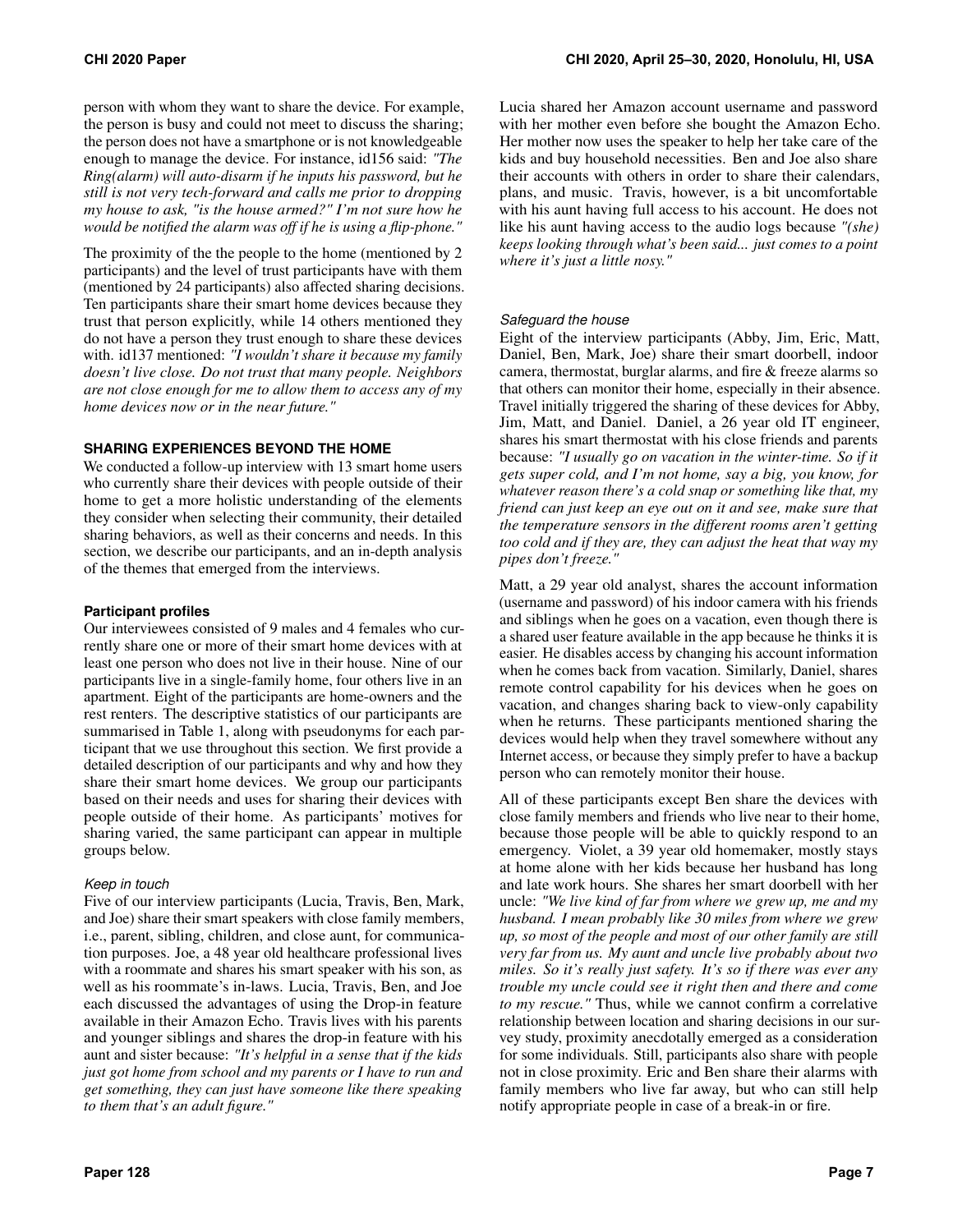person with whom they want to share the device. For example, the person is busy and could not meet to discuss the sharing; the person does not have a smartphone or is not knowledgeable enough to manage the device. For instance, id156 said: *"The Ring(alarm) will auto-disarm if he inputs his password, but he still is not very tech-forward and calls me prior to dropping my house to ask, "is the house armed?" I'm not sure how he would be notified the alarm was off if he is using a flip-phone."* 

The proximity of the the people to the home (mentioned by 2 participants) and the level of trust participants have with them (mentioned by 24 participants) also affected sharing decisions. Ten participants share their smart home devices because they trust that person explicitly, while 14 others mentioned they do not have a person they trust enough to share these devices with. id137 mentioned: *"I wouldn't share it because my family doesn't live close. Do not trust that many people. Neighbors are not close enough for me to allow them to access any of my home devices now or in the near future."* 

#### **SHARING EXPERIENCES BEYOND THE HOME**

We conducted a follow-up interview with 13 smart home users who currently share their devices with people outside of their home to get a more holistic understanding of the elements they consider when selecting their community, their detailed sharing behaviors, as well as their concerns and needs. In this section, we describe our participants, and an in-depth analysis of the themes that emerged from the interviews.

#### **Participant profiles**

Our interviewees consisted of 9 males and 4 females who currently share one or more of their smart home devices with at least one person who does not live in their house. Nine of our participants live in a single-family home, four others live in an apartment. Eight of the participants are home-owners and the rest renters. The descriptive statistics of our participants are summarised in Table [1,](#page-7-0) along with pseudonyms for each participant that we use throughout this section. We first provide a detailed description of our participants and why and how they share their smart home devices. We group our participants based on their needs and uses for sharing their devices with people outside of their home. As participants' motives for sharing varied, the same participant can appear in multiple groups below.

#### *Keep in touch*

Five of our interview participants (Lucia, Travis, Ben, Mark, and Joe) share their smart speakers with close family members, i.e., parent, sibling, children, and close aunt, for communication purposes. Joe, a 48 year old healthcare professional lives with a roommate and shares his smart speaker with his son, as well as his roommate's in-laws. Lucia, Travis, Ben, and Joe each discussed the advantages of using the Drop-in feature available in their Amazon Echo. Travis lives with his parents and younger siblings and shares the drop-in feature with his aunt and sister because: *"It's helpful in a sense that if the kids just got home from school and my parents or I have to run and get something, they can just have someone like there speaking to them that's an adult figure."* 

Lucia shared her Amazon account username and password with her mother even before she bought the Amazon Echo. Her mother now uses the speaker to help her take care of the kids and buy household necessities. Ben and Joe also share their accounts with others in order to share their calendars, plans, and music. Travis, however, is a bit uncomfortable with his aunt having full access to his account. He does not like his aunt having access to the audio logs because *"(she) keeps looking through what's been said... just comes to a point where it's just a little nosy."* 

#### *Safeguard the house*

Eight of the interview participants (Abby, Jim, Eric, Matt, Daniel, Ben, Mark, Joe) share their smart doorbell, indoor camera, thermostat, burglar alarms, and fire & freeze alarms so that others can monitor their home, especially in their absence. Travel initially triggered the sharing of these devices for Abby, Jim, Matt, and Daniel. Daniel, a 26 year old IT engineer, shares his smart thermostat with his close friends and parents because: *"I usually go on vacation in the winter-time. So if it gets super cold, and I'm not home, say a big, you know, for whatever reason there's a cold snap or something like that, my friend can just keep an eye out on it and see, make sure that the temperature sensors in the different rooms aren't getting too cold and if they are, they can adjust the heat that way my pipes don't freeze."* 

Matt, a 29 year old analyst, shares the account information (username and password) of his indoor camera with his friends and siblings when he goes on a vacation, even though there is a shared user feature available in the app because he thinks it is easier. He disables access by changing his account information when he comes back from vacation. Similarly, Daniel, shares remote control capability for his devices when he goes on vacation, and changes sharing back to view-only capability when he returns. These participants mentioned sharing the devices would help when they travel somewhere without any Internet access, or because they simply prefer to have a backup person who can remotely monitor their house.

All of these participants except Ben share the devices with close family members and friends who live near to their home, because those people will be able to quickly respond to an emergency. Violet, a 39 year old homemaker, mostly stays at home alone with her kids because her husband has long and late work hours. She shares her smart doorbell with her uncle: *"We live kind of far from where we grew up, me and my husband. I mean probably like 30 miles from where we grew up, so most of the people and most of our other family are still very far from us. My aunt and uncle live probably about two miles. So it's really just safety. It's so if there was ever any trouble my uncle could see it right then and there and come to my rescue."* Thus, while we cannot confirm a correlative relationship between location and sharing decisions in our survey study, proximity anecdotally emerged as a consideration for some individuals. Still, participants also share with people not in close proximity. Eric and Ben share their alarms with family members who live far away, but who can still help notify appropriate people in case of a break-in or fire.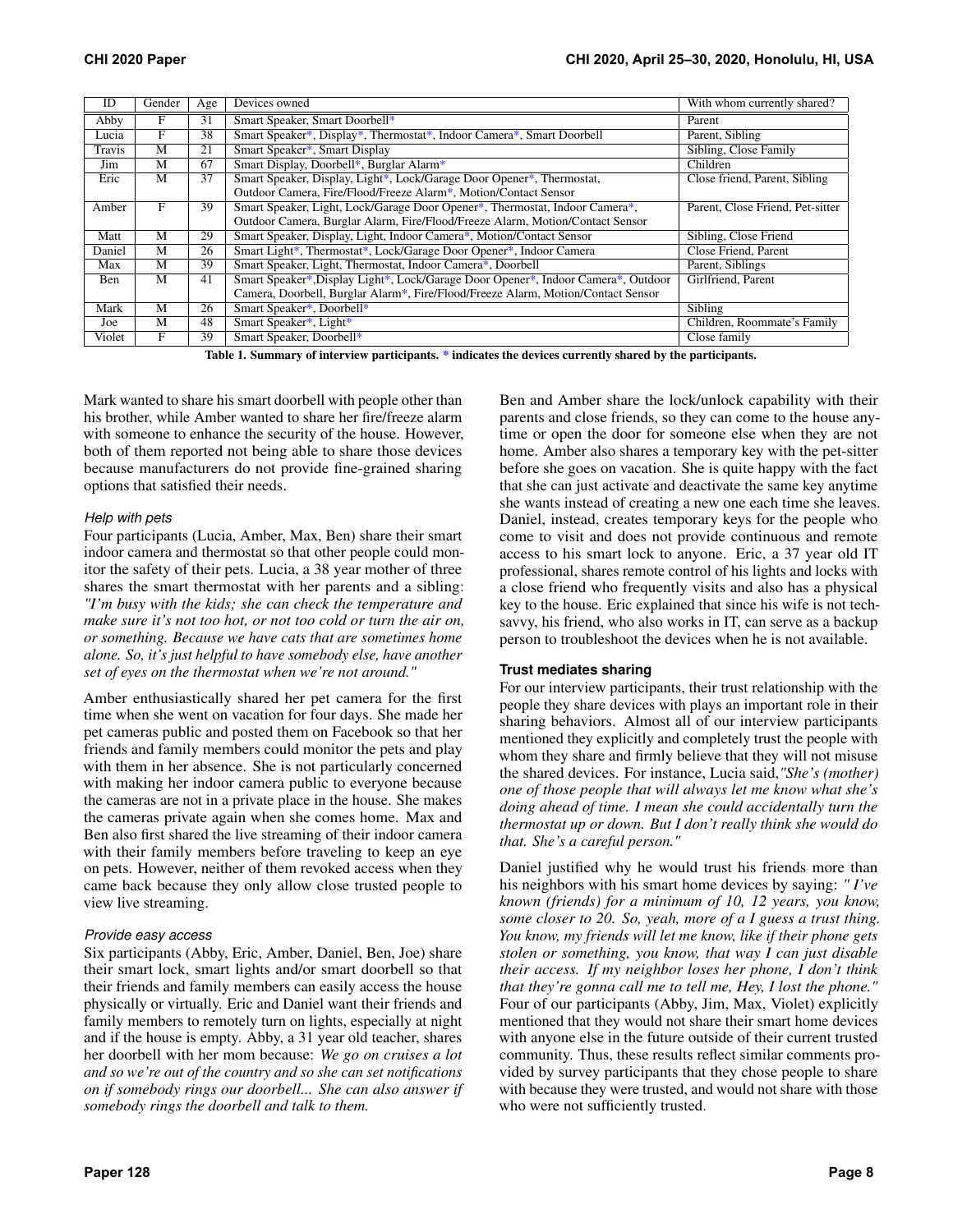| ID     | Gender | Age | Devices owned                                                                     | With whom currently shared?      |
|--------|--------|-----|-----------------------------------------------------------------------------------|----------------------------------|
| Abby   | F      | 31  | Smart Speaker, Smart Doorbell*                                                    | Parent                           |
| Lucia  | F      | 38  | Smart Speaker*, Display*, Thermostat*, Indoor Camera*, Smart Doorbell             | Parent, Sibling                  |
| Travis | M      | 21  | Smart Speaker*, Smart Display                                                     | Sibling, Close Family            |
| Jim    | M      | 67  | Smart Display, Doorbell*, Burglar Alarm*                                          | Children                         |
| Eric   | M      | 37  | Smart Speaker, Display, Light*, Lock/Garage Door Opener*, Thermostat,             | Close friend, Parent, Sibling    |
|        |        |     | Outdoor Camera, Fire/Flood/Freeze Alarm*, Motion/Contact Sensor                   |                                  |
| Amber  | F      | 39  | Smart Speaker, Light, Lock/Garage Door Opener*, Thermostat, Indoor Camera*,       | Parent, Close Friend, Pet-sitter |
|        |        |     | Outdoor Camera, Burglar Alarm, Fire/Flood/Freeze Alarm, Motion/Contact Sensor     |                                  |
| Matt   | M      | 29  | Smart Speaker, Display, Light, Indoor Camera*, Motion/Contact Sensor              | Sibling, Close Friend            |
| Daniel | M      | 26  | Smart Light*, Thermostat*, Lock/Garage Door Opener*, Indoor Camera                | Close Friend, Parent             |
| Max    | M      | 39  | Smart Speaker, Light, Thermostat, Indoor Camera*, Doorbell                        | Parent, Siblings                 |
| Ben    | M      | 41  | Smart Speaker*, Display Light*, Lock/Garage Door Opener*, Indoor Camera*, Outdoor | Girlfriend, Parent               |
|        |        |     | Camera, Doorbell, Burglar Alarm*, Fire/Flood/Freeze Alarm, Motion/Contact Sensor  |                                  |
| Mark   | M      | 26  | Smart Speaker*, Doorbell*                                                         | Sibling                          |
| Joe    | M      | 48  | Smart Speaker*, Light*                                                            | Children, Roommate's Family      |
| Violet | F      | 39  | Smart Speaker, Doorbell*                                                          | Close family                     |

<span id="page-7-0"></span>Table 1. Summary of interview participants. \* indicates the devices currently shared by the participants.

Mark wanted to share his smart doorbell with people other than his brother, while Amber wanted to share her fire/freeze alarm with someone to enhance the security of the house. However, both of them reported not being able to share those devices because manufacturers do not provide fine-grained sharing options that satisfied their needs.

#### *Help with pets*

Four participants (Lucia, Amber, Max, Ben) share their smart indoor camera and thermostat so that other people could monitor the safety of their pets. Lucia, a 38 year mother of three shares the smart thermostat with her parents and a sibling: *"I'm busy with the kids; she can check the temperature and make sure it's not too hot, or not too cold or turn the air on, or something. Because we have cats that are sometimes home alone. So, it's just helpful to have somebody else, have another set of eyes on the thermostat when we're not around."* 

Amber enthusiastically shared her pet camera for the first time when she went on vacation for four days. She made her pet cameras public and posted them on Facebook so that her friends and family members could monitor the pets and play with them in her absence. She is not particularly concerned with making her indoor camera public to everyone because the cameras are not in a private place in the house. She makes the cameras private again when she comes home. Max and Ben also first shared the live streaming of their indoor camera with their family members before traveling to keep an eye on pets. However, neither of them revoked access when they came back because they only allow close trusted people to view live streaming.

#### *Provide easy access*

Six participants (Abby, Eric, Amber, Daniel, Ben, Joe) share their smart lock, smart lights and/or smart doorbell so that their friends and family members can easily access the house physically or virtually. Eric and Daniel want their friends and family members to remotely turn on lights, especially at night and if the house is empty. Abby, a 31 year old teacher, shares her doorbell with her mom because: *We go on cruises a lot and so we're out of the country and so she can set notifications on if somebody rings our doorbell... She can also answer if somebody rings the doorbell and talk to them.* 

Ben and Amber share the lock/unlock capability with their parents and close friends, so they can come to the house anytime or open the door for someone else when they are not home. Amber also shares a temporary key with the pet-sitter before she goes on vacation. She is quite happy with the fact that she can just activate and deactivate the same key anytime she wants instead of creating a new one each time she leaves. Daniel, instead, creates temporary keys for the people who come to visit and does not provide continuous and remote access to his smart lock to anyone. Eric, a 37 year old IT professional, shares remote control of his lights and locks with a close friend who frequently visits and also has a physical key to the house. Eric explained that since his wife is not techsavvy, his friend, who also works in IT, can serve as a backup person to troubleshoot the devices when he is not available.

#### **Trust mediates sharing**

For our interview participants, their trust relationship with the people they share devices with plays an important role in their sharing behaviors. Almost all of our interview participants mentioned they explicitly and completely trust the people with whom they share and firmly believe that they will not misuse the shared devices. For instance, Lucia said,*"She's (mother) one of those people that will always let me know what she's doing ahead of time. I mean she could accidentally turn the thermostat up or down. But I don't really think she would do that. She's a careful person."* 

Daniel justified why he would trust his friends more than his neighbors with his smart home devices by saying: *" I've known (friends) for a minimum of 10, 12 years, you know, some closer to 20. So, yeah, more of a I guess a trust thing. You know, my friends will let me know, like if their phone gets stolen or something, you know, that way I can just disable their access. If my neighbor loses her phone, I don't think that they're gonna call me to tell me, Hey, I lost the phone."*  Four of our participants (Abby, Jim, Max, Violet) explicitly mentioned that they would not share their smart home devices with anyone else in the future outside of their current trusted community. Thus, these results reflect similar comments provided by survey participants that they chose people to share with because they were trusted, and would not share with those who were not sufficiently trusted.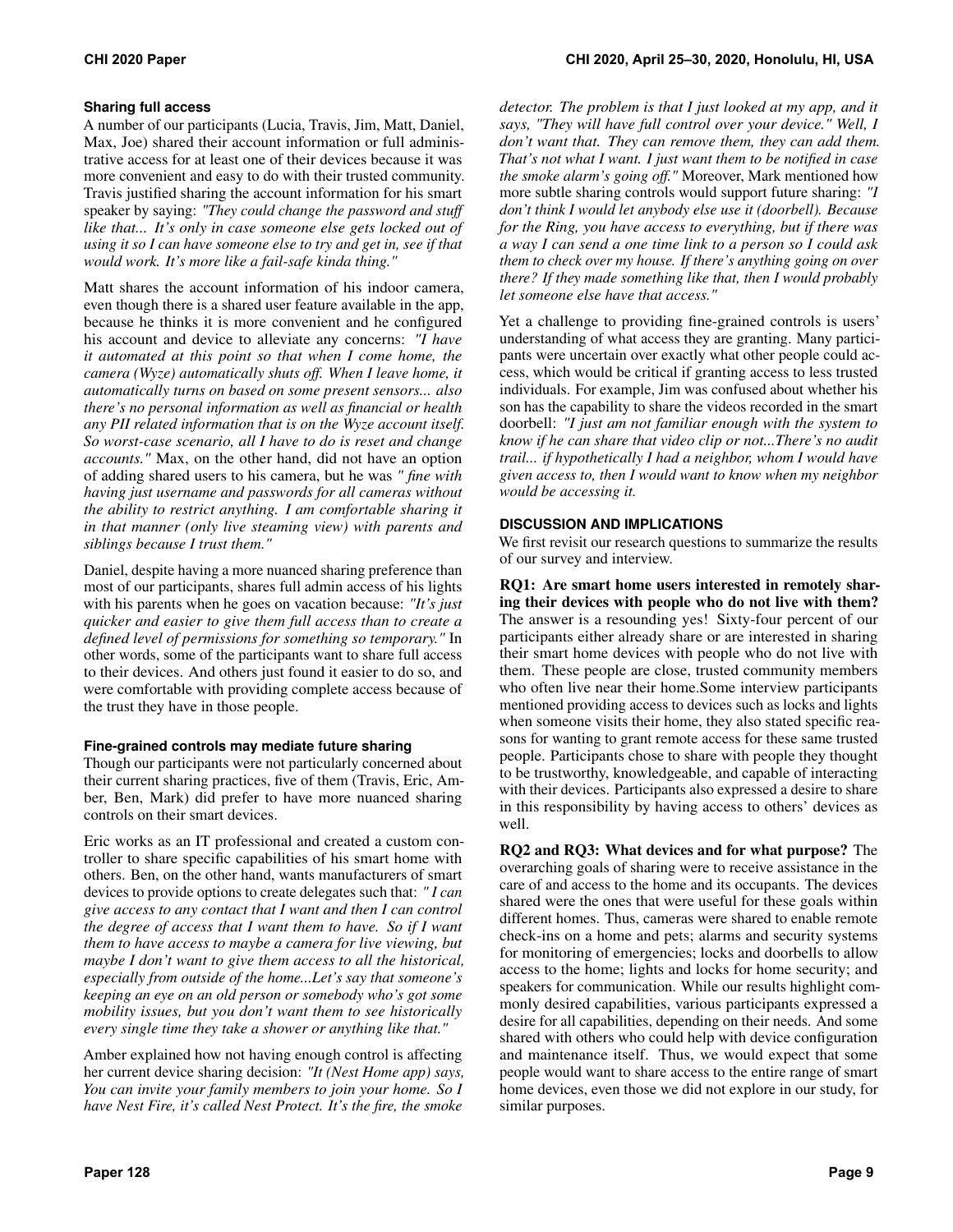#### **Sharing full access**

A number of our participants (Lucia, Travis, Jim, Matt, Daniel, Max, Joe) shared their account information or full administrative access for at least one of their devices because it was more convenient and easy to do with their trusted community. Travis justified sharing the account information for his smart speaker by saying: *"They could change the password and stuff like that... It's only in case someone else gets locked out of using it so I can have someone else to try and get in, see if that would work. It's more like a fail-safe kinda thing."* 

Matt shares the account information of his indoor camera, even though there is a shared user feature available in the app, because he thinks it is more convenient and he configured his account and device to alleviate any concerns: *"I have it automated at this point so that when I come home, the camera (Wyze) automatically shuts off. When I leave home, it automatically turns on based on some present sensors... also there's no personal information as well as financial or health any PII related information that is on the Wyze account itself. So worst-case scenario, all I have to do is reset and change accounts."* Max, on the other hand, did not have an option of adding shared users to his camera, but he was *" fine with having just username and passwords for all cameras without the ability to restrict anything. I am comfortable sharing it in that manner (only live steaming view) with parents and siblings because I trust them."* 

Daniel, despite having a more nuanced sharing preference than most of our participants, shares full admin access of his lights with his parents when he goes on vacation because: *"It's just quicker and easier to give them full access than to create a defined level of permissions for something so temporary."* In other words, some of the participants want to share full access to their devices. And others just found it easier to do so, and were comfortable with providing complete access because of the trust they have in those people.

#### **Fine-grained controls may mediate future sharing**

Though our participants were not particularly concerned about their current sharing practices, five of them (Travis, Eric, Amber, Ben, Mark) did prefer to have more nuanced sharing controls on their smart devices.

Eric works as an IT professional and created a custom controller to share specific capabilities of his smart home with others. Ben, on the other hand, wants manufacturers of smart devices to provide options to create delegates such that: *" I can give access to any contact that I want and then I can control the degree of access that I want them to have. So if I want them to have access to maybe a camera for live viewing, but maybe I don't want to give them access to all the historical, especially from outside of the home...Let's say that someone's keeping an eye on an old person or somebody who's got some mobility issues, but you don't want them to see historically every single time they take a shower or anything like that."* 

Amber explained how not having enough control is affecting her current device sharing decision: *"It (Nest Home app) says, You can invite your family members to join your home. So I have Nest Fire, it's called Nest Protect. It's the fire, the smoke* 

*detector. The problem is that I just looked at my app, and it says, "They will have full control over your device." Well, I don't want that. They can remove them, they can add them. That's not what I want. I just want them to be notified in case the smoke alarm's going off."* Moreover, Mark mentioned how more subtle sharing controls would support future sharing: *"I don't think I would let anybody else use it (doorbell). Because for the Ring, you have access to everything, but if there was a way I can send a one time link to a person so I could ask them to check over my house. If there's anything going on over there? If they made something like that, then I would probably let someone else have that access."* 

Yet a challenge to providing fine-grained controls is users' understanding of what access they are granting. Many participants were uncertain over exactly what other people could access, which would be critical if granting access to less trusted individuals. For example, Jim was confused about whether his son has the capability to share the videos recorded in the smart doorbell: *"I just am not familiar enough with the system to know if he can share that video clip or not...There's no audit trail... if hypothetically I had a neighbor, whom I would have given access to, then I would want to know when my neighbor would be accessing it.* 

### **DISCUSSION AND IMPLICATIONS**

We first revisit our research questions to summarize the results of our survey and interview.

RQ1: Are smart home users interested in remotely sharing their devices with people who do not live with them? The answer is a resounding yes! Sixty-four percent of our participants either already share or are interested in sharing their smart home devices with people who do not live with them. These people are close, trusted community members who often live near their home.Some interview participants mentioned providing access to devices such as locks and lights when someone visits their home, they also stated specific reasons for wanting to grant remote access for these same trusted people. Participants chose to share with people they thought to be trustworthy, knowledgeable, and capable of interacting with their devices. Participants also expressed a desire to share in this responsibility by having access to others' devices as well.

RQ2 and RQ3: What devices and for what purpose? The overarching goals of sharing were to receive assistance in the care of and access to the home and its occupants. The devices shared were the ones that were useful for these goals within different homes. Thus, cameras were shared to enable remote check-ins on a home and pets; alarms and security systems for monitoring of emergencies; locks and doorbells to allow access to the home; lights and locks for home security; and speakers for communication. While our results highlight commonly desired capabilities, various participants expressed a desire for all capabilities, depending on their needs. And some shared with others who could help with device configuration and maintenance itself. Thus, we would expect that some people would want to share access to the entire range of smart home devices, even those we did not explore in our study, for similar purposes.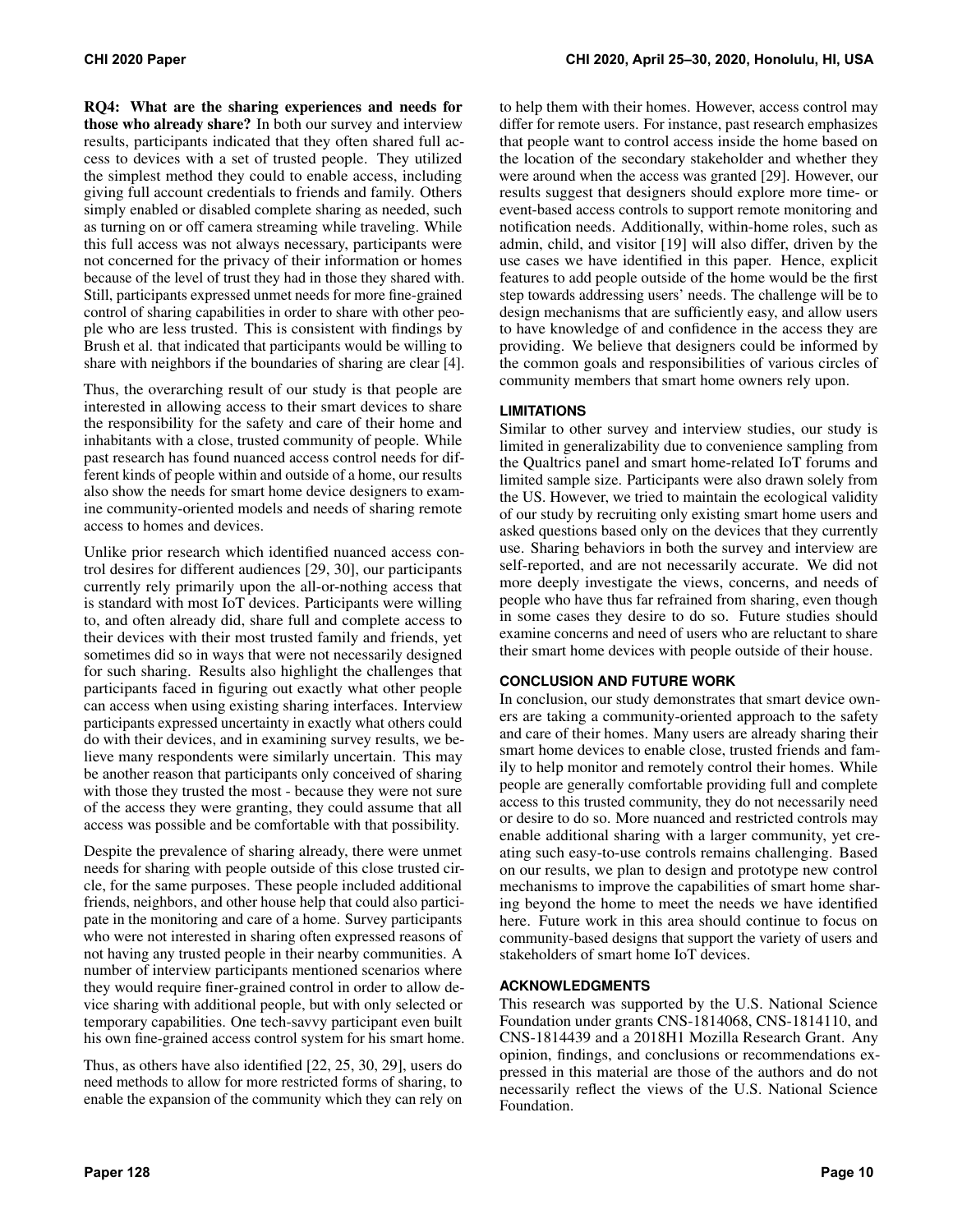RQ4: What are the sharing experiences and needs for those who already share? In both our survey and interview results, participants indicated that they often shared full access to devices with a set of trusted people. They utilized the simplest method they could to enable access, including giving full account credentials to friends and family. Others simply enabled or disabled complete sharing as needed, such as turning on or off camera streaming while traveling. While this full access was not always necessary, participants were not concerned for the privacy of their information or homes because of the level of trust they had in those they shared with. Still, participants expressed unmet needs for more fine-grained control of sharing capabilities in order to share with other people who are less trusted. This is consistent with findings by Brush et al. that indicated that participants would be willing to share with neighbors if the boundaries of sharing are clear [\[4\]](#page-10-3).

Thus, the overarching result of our study is that people are interested in allowing access to their smart devices to share the responsibility for the safety and care of their home and inhabitants with a close, trusted community of people. While past research has found nuanced access control needs for different kinds of people within and outside of a home, our results also show the needs for smart home device designers to examine community-oriented models and needs of sharing remote access to homes and devices.

Unlike prior research which identified nuanced access control desires for different audiences [\[29,](#page-11-4) [30\]](#page-11-5), our participants currently rely primarily upon the all-or-nothing access that is standard with most IoT devices. Participants were willing to, and often already did, share full and complete access to their devices with their most trusted family and friends, yet sometimes did so in ways that were not necessarily designed for such sharing. Results also highlight the challenges that participants faced in figuring out exactly what other people can access when using existing sharing interfaces. Interview participants expressed uncertainty in exactly what others could do with their devices, and in examining survey results, we believe many respondents were similarly uncertain. This may be another reason that participants only conceived of sharing with those they trusted the most - because they were not sure of the access they were granting, they could assume that all access was possible and be comfortable with that possibility.

Despite the prevalence of sharing already, there were unmet needs for sharing with people outside of this close trusted circle, for the same purposes. These people included additional friends, neighbors, and other house help that could also participate in the monitoring and care of a home. Survey participants who were not interested in sharing often expressed reasons of not having any trusted people in their nearby communities. A number of interview participants mentioned scenarios where they would require finer-grained control in order to allow device sharing with additional people, but with only selected or temporary capabilities. One tech-savvy participant even built his own fine-grained access control system for his smart home.

Thus, as others have also identified [\[22,](#page-10-21) [25,](#page-11-0) [30,](#page-11-5) [29\]](#page-11-4), users do need methods to allow for more restricted forms of sharing, to enable the expansion of the community which they can rely on to help them with their homes. However, access control may differ for remote users. For instance, past research emphasizes that people want to control access inside the home based on the location of the secondary stakeholder and whether they were around when the access was granted [\[29\]](#page-11-4). However, our results suggest that designers should explore more time- or event-based access controls to support remote monitoring and notification needs. Additionally, within-home roles, such as admin, child, and visitor [\[19\]](#page-10-18) will also differ, driven by the use cases we have identified in this paper. Hence, explicit features to add people outside of the home would be the first step towards addressing users' needs. The challenge will be to design mechanisms that are sufficiently easy, and allow users to have knowledge of and confidence in the access they are providing. We believe that designers could be informed by the common goals and responsibilities of various circles of community members that smart home owners rely upon.

### **LIMITATIONS**

Similar to other survey and interview studies, our study is limited in generalizability due to convenience sampling from the Qualtrics panel and smart home-related IoT forums and limited sample size. Participants were also drawn solely from the US. However, we tried to maintain the ecological validity of our study by recruiting only existing smart home users and asked questions based only on the devices that they currently use. Sharing behaviors in both the survey and interview are self-reported, and are not necessarily accurate. We did not more deeply investigate the views, concerns, and needs of people who have thus far refrained from sharing, even though in some cases they desire to do so. Future studies should examine concerns and need of users who are reluctant to share their smart home devices with people outside of their house.

#### **CONCLUSION AND FUTURE WORK**

In conclusion, our study demonstrates that smart device owners are taking a community-oriented approach to the safety and care of their homes. Many users are already sharing their smart home devices to enable close, trusted friends and family to help monitor and remotely control their homes. While people are generally comfortable providing full and complete access to this trusted community, they do not necessarily need or desire to do so. More nuanced and restricted controls may enable additional sharing with a larger community, yet creating such easy-to-use controls remains challenging. Based on our results, we plan to design and prototype new control mechanisms to improve the capabilities of smart home sharing beyond the home to meet the needs we have identified here. Future work in this area should continue to focus on community-based designs that support the variety of users and stakeholders of smart home IoT devices.

#### **ACKNOWLEDGMENTS**

This research was supported by the U.S. National Science Foundation under grants CNS-1814068, CNS-1814110, and CNS-1814439 and a 2018H1 Mozilla Research Grant. Any opinion, findings, and conclusions or recommendations expressed in this material are those of the authors and do not necessarily reflect the views of the U.S. National Science Foundation.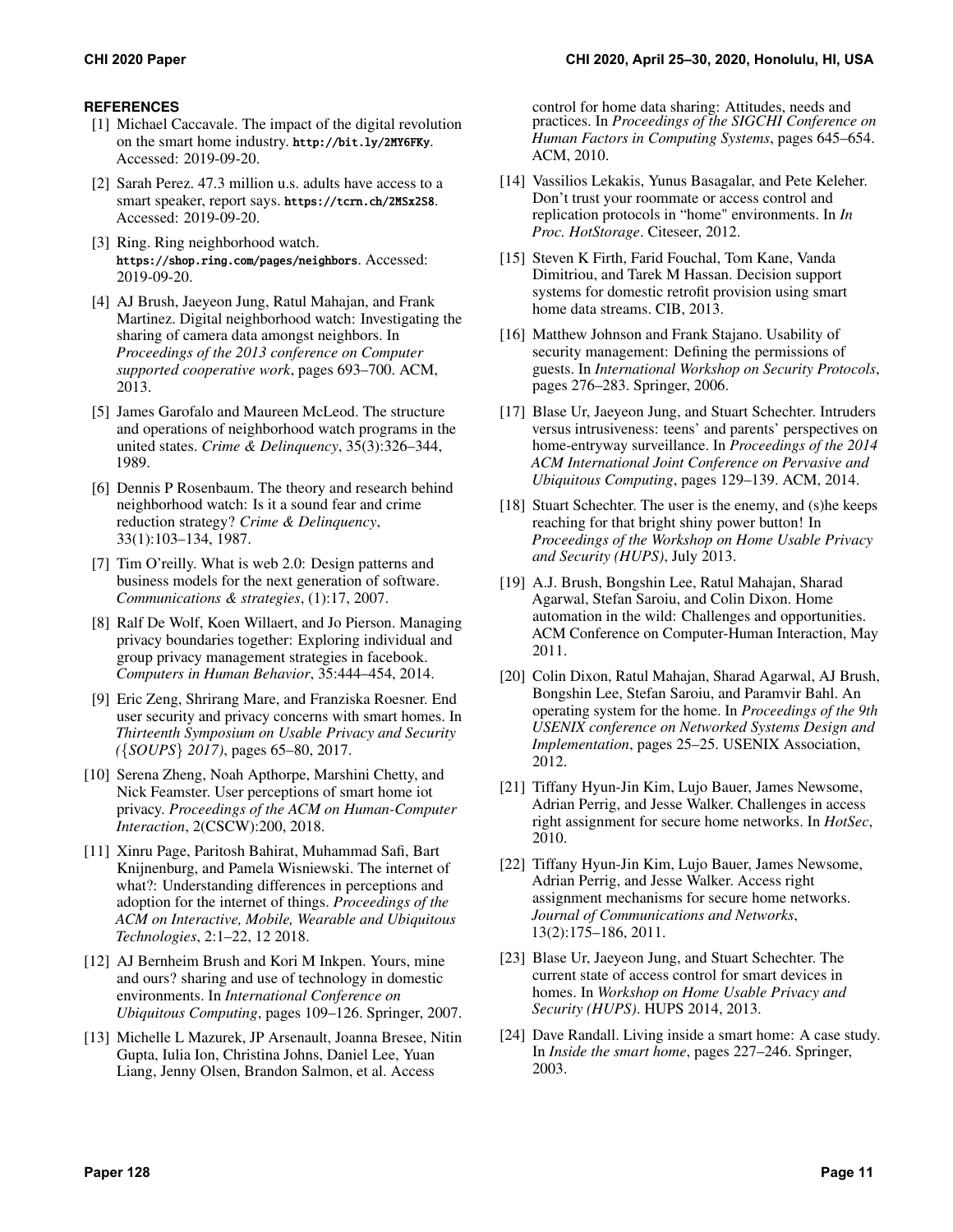# **REFERENCES**

- <span id="page-10-0"></span>[1] Michael Caccavale. The impact of the digital revolution on the smart home industry. <http://bit.ly/2MY6FKy>. Accessed: 2019-09-20.
- <span id="page-10-1"></span>[2] Sarah Perez. 47.3 million u.s. adults have access to a smart speaker, report says. <https://tcrn.ch/2MSx2S8>. Accessed: 2019-09-20.
- <span id="page-10-2"></span>[3] Ring. Ring neighborhood watch. <https://shop.ring.com/pages/neighbors>. Accessed: 2019-09-20.
- <span id="page-10-3"></span>[4] AJ Brush, Jaeyeon Jung, Ratul Mahajan, and Frank Martinez. Digital neighborhood watch: Investigating the sharing of camera data amongst neighbors. In *Proceedings of the 2013 conference on Computer supported cooperative work*, pages 693–700. ACM, 2013.
- <span id="page-10-4"></span>[5] James Garofalo and Maureen McLeod. The structure and operations of neighborhood watch programs in the united states. *Crime & Delinquency*, 35(3):326–344, 1989.
- <span id="page-10-5"></span>[6] Dennis P Rosenbaum. The theory and research behind neighborhood watch: Is it a sound fear and crime reduction strategy? *Crime & Delinquency*, 33(1):103–134, 1987.
- <span id="page-10-6"></span>[7] Tim O'reilly. What is web 2.0: Design patterns and business models for the next generation of software. *Communications & strategies*, (1):17, 2007.
- <span id="page-10-7"></span>[8] Ralf De Wolf, Koen Willaert, and Jo Pierson. Managing privacy boundaries together: Exploring individual and group privacy management strategies in facebook. *Computers in Human Behavior*, 35:444–454, 2014.
- <span id="page-10-8"></span>[9] Eric Zeng, Shrirang Mare, and Franziska Roesner. End user security and privacy concerns with smart homes. In *Thirteenth Symposium on Usable Privacy and Security (*{*SOUPS*} *2017)*, pages 65–80, 2017.
- <span id="page-10-9"></span>[10] Serena Zheng, Noah Apthorpe, Marshini Chetty, and Nick Feamster. User perceptions of smart home iot privacy. *Proceedings of the ACM on Human-Computer Interaction*, 2(CSCW):200, 2018.
- <span id="page-10-10"></span>[11] Xinru Page, Paritosh Bahirat, Muhammad Safi, Bart Knijnenburg, and Pamela Wisniewski. The internet of what?: Understanding differences in perceptions and adoption for the internet of things. *Proceedings of the ACM on Interactive, Mobile, Wearable and Ubiquitous Technologies*, 2:1–22, 12 2018.
- <span id="page-10-11"></span>[12] AJ Bernheim Brush and Kori M Inkpen. Yours, mine and ours? sharing and use of technology in domestic environments. In *International Conference on Ubiquitous Computing*, pages 109–126. Springer, 2007.
- <span id="page-10-12"></span>[13] Michelle L Mazurek, JP Arsenault, Joanna Bresee, Nitin Gupta, Iulia Ion, Christina Johns, Daniel Lee, Yuan Liang, Jenny Olsen, Brandon Salmon, et al. Access

control for home data sharing: Attitudes, needs and practices. In *Proceedings of the SIGCHI Conference on Human Factors in Computing Systems*, pages 645–654. ACM, 2010.

- <span id="page-10-13"></span>[14] Vassilios Lekakis, Yunus Basagalar, and Pete Keleher. Don't trust your roommate or access control and replication protocols in "home" environments. In *In Proc. HotStorage*. Citeseer, 2012.
- <span id="page-10-14"></span>[15] Steven K Firth, Farid Fouchal, Tom Kane, Vanda Dimitriou, and Tarek M Hassan. Decision support systems for domestic retrofit provision using smart home data streams. CIB, 2013.
- <span id="page-10-15"></span>[16] Matthew Johnson and Frank Stajano. Usability of security management: Defining the permissions of guests. In *International Workshop on Security Protocols*, pages 276–283. Springer, 2006.
- <span id="page-10-16"></span>[17] Blase Ur, Jaeyeon Jung, and Stuart Schechter. Intruders versus intrusiveness: teens' and parents' perspectives on home-entryway surveillance. In *Proceedings of the 2014 ACM International Joint Conference on Pervasive and Ubiquitous Computing*, pages 129–139. ACM, 2014.
- <span id="page-10-17"></span>[18] Stuart Schechter. The user is the enemy, and (s)he keeps reaching for that bright shiny power button! In *Proceedings of the Workshop on Home Usable Privacy and Security (HUPS)*, July 2013.
- <span id="page-10-18"></span>[19] A.J. Brush, Bongshin Lee, Ratul Mahajan, Sharad Agarwal, Stefan Saroiu, and Colin Dixon. Home automation in the wild: Challenges and opportunities. ACM Conference on Computer-Human Interaction, May 2011.
- <span id="page-10-19"></span>[20] Colin Dixon, Ratul Mahajan, Sharad Agarwal, AJ Brush, Bongshin Lee, Stefan Saroiu, and Paramvir Bahl. An operating system for the home. In *Proceedings of the 9th USENIX conference on Networked Systems Design and Implementation*, pages 25–25. USENIX Association, 2012.
- <span id="page-10-20"></span>[21] Tiffany Hyun-Jin Kim, Lujo Bauer, James Newsome, Adrian Perrig, and Jesse Walker. Challenges in access right assignment for secure home networks. In *HotSec*, 2010.
- <span id="page-10-21"></span>[22] Tiffany Hyun-Jin Kim, Lujo Bauer, James Newsome, Adrian Perrig, and Jesse Walker. Access right assignment mechanisms for secure home networks. *Journal of Communications and Networks*, 13(2):175–186, 2011.
- <span id="page-10-22"></span>[23] Blase Ur, Jaeyeon Jung, and Stuart Schechter. The current state of access control for smart devices in homes. In *Workshop on Home Usable Privacy and Security (HUPS)*. HUPS 2014, 2013.
- <span id="page-10-23"></span>[24] Dave Randall. Living inside a smart home: A case study. In *Inside the smart home*, pages 227–246. Springer, 2003.